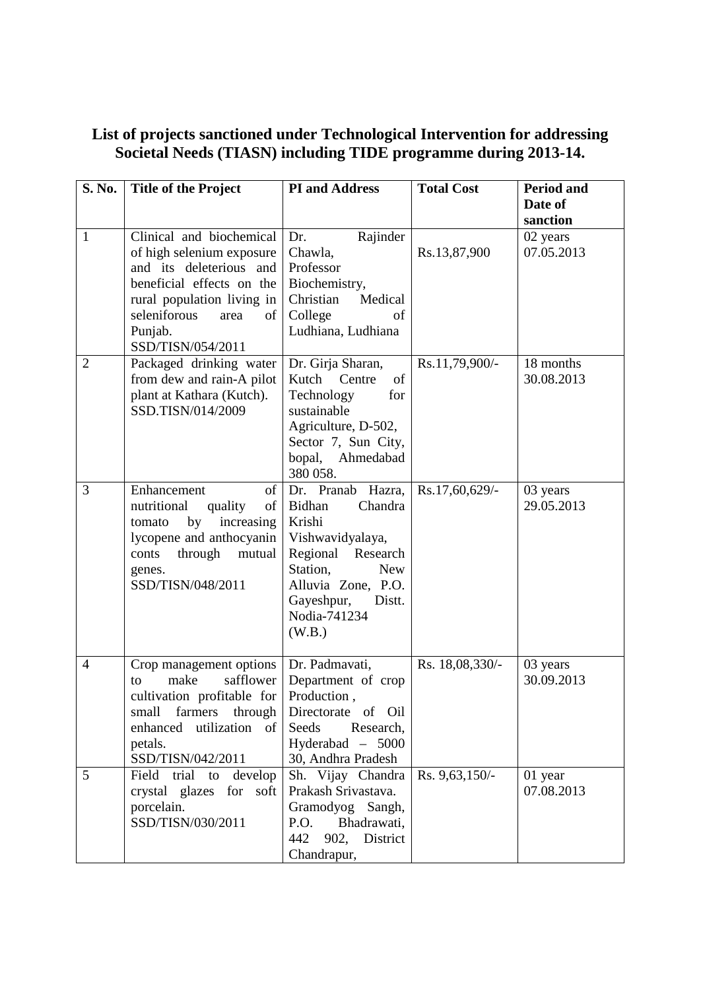## **List of projects sanctioned under Technological Intervention for addressing Societal Needs (TIASN) including TIDE programme during 2013-14.**

| S. No.         | <b>Title of the Project</b>                                                                                                                                                                               | <b>PI</b> and Address                                                                                                                                                                              | <b>Total Cost</b> | <b>Period and</b>       |
|----------------|-----------------------------------------------------------------------------------------------------------------------------------------------------------------------------------------------------------|----------------------------------------------------------------------------------------------------------------------------------------------------------------------------------------------------|-------------------|-------------------------|
|                |                                                                                                                                                                                                           |                                                                                                                                                                                                    |                   | Date of<br>sanction     |
| $\mathbf{1}$   | Clinical and biochemical<br>of high selenium exposure<br>and its deleterious and<br>beneficial effects on the<br>rural population living in<br>seleniforous<br>area<br>of<br>Punjab.<br>SSD/TISN/054/2011 | Rajinder<br>Dr.<br>Chawla,<br>Professor<br>Biochemistry,<br>Christian<br>Medical<br>College<br>of<br>Ludhiana, Ludhiana                                                                            | Rs.13,87,900      | 02 years<br>07.05.2013  |
| $\overline{2}$ | Packaged drinking water<br>from dew and rain-A pilot<br>plant at Kathara (Kutch).<br>SSD.TISN/014/2009                                                                                                    | Dr. Girja Sharan,<br>Kutch<br>Centre<br>of<br>Technology<br>for<br>sustainable<br>Agriculture, D-502,<br>Sector 7, Sun City,<br>Ahmedabad<br>bopal,<br>380 058.                                    | Rs.11,79,900/-    | 18 months<br>30.08.2013 |
| 3              | of<br>Enhancement<br>nutritional<br>quality<br>of<br>increasing<br>by<br>tomato<br>lycopene and anthocyanin<br>through<br>mutual<br>conts<br>genes.<br>SSD/TISN/048/2011                                  | Dr. Pranab Hazra,<br><b>Bidhan</b><br>Chandra<br>Krishi<br>Vishwavidyalaya,<br>Regional Research<br>Station,<br><b>New</b><br>Alluvia Zone, P.O.<br>Gayeshpur,<br>Distt.<br>Nodia-741234<br>(W.B.) | Rs.17,60,629/-    | 03 years<br>29.05.2013  |
| $\overline{4}$ | Crop management options<br>make<br>safflower<br>to<br>cultivation profitable for<br>small<br>farmers<br>through<br>enhanced utilization of<br>petals.<br>SSD/TISN/042/2011                                | Dr. Padmavati,<br>Department of crop<br>Production,<br>Directorate of Oil<br>Seeds<br>Research,<br>Hyderabad - 5000<br>30, Andhra Pradesh                                                          | Rs. 18,08,330/-   | 03 years<br>30.09.2013  |
| 5              | Field trial to<br>develop<br>crystal glazes for soft<br>porcelain.<br>SSD/TISN/030/2011                                                                                                                   | Sh. Vijay Chandra<br>Prakash Srivastava.<br>Gramodyog Sangh,<br>Bhadrawati,<br>P.O.<br>442<br>902,<br>District<br>Chandrapur,                                                                      | Rs. 9,63,150/-    | 01 year<br>07.08.2013   |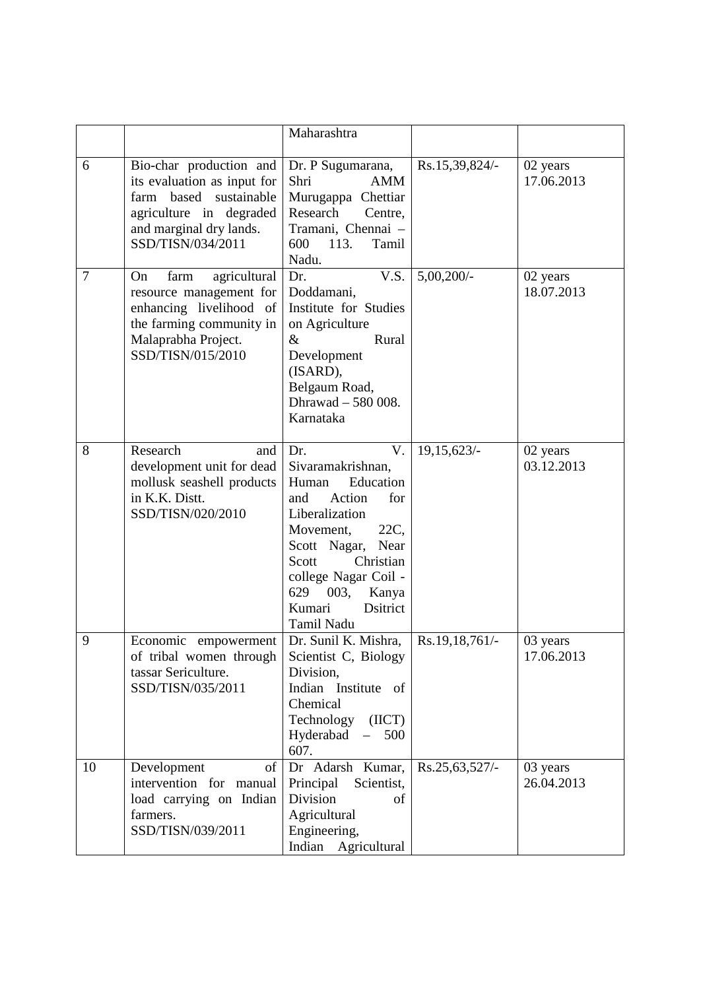|                |                                                                                                                                                                | Maharashtra                                                                                                                                                                                                                                                  |                |                        |
|----------------|----------------------------------------------------------------------------------------------------------------------------------------------------------------|--------------------------------------------------------------------------------------------------------------------------------------------------------------------------------------------------------------------------------------------------------------|----------------|------------------------|
| 6              | Bio-char production and<br>its evaluation as input for<br>based sustainable<br>farm<br>agriculture in degraded<br>and marginal dry lands.<br>SSD/TISN/034/2011 | Dr. P Sugumarana,<br>Shri<br><b>AMM</b><br>Murugappa Chettiar<br>Research<br>Centre,<br>Tramani, Chennai -<br>113.<br>600<br>Tamil<br>Nadu.                                                                                                                  | Rs.15,39,824/- | 02 years<br>17.06.2013 |
| $\overline{7}$ | farm<br>agricultural<br>On<br>resource management for<br>enhancing livelihood of<br>the farming community in<br>Malaprabha Project.<br>SSD/TISN/015/2010       | Dr.<br>V.S.<br>Doddamani,<br>Institute for Studies<br>on Agriculture<br>$\&$<br>Rural<br>Development<br>(ISARD),<br>Belgaum Road,<br>Dhrawad - 580 008.<br>Karnataka                                                                                         | $5,00,200/$ -  | 02 years<br>18.07.2013 |
| 8              | Research<br>and<br>development unit for dead<br>mollusk seashell products<br>in K.K. Distt.<br>SSD/TISN/020/2010                                               | Dr.<br>V.<br>Sivaramakrishnan,<br>Education<br>Human<br>and<br>Action<br>for<br>Liberalization<br>22C,<br>Movement,<br>Scott Nagar,<br>Near<br>Scott<br>Christian<br>college Nagar Coil -<br>629<br>003,<br>Kanya<br><b>Dsitrict</b><br>Kumari<br>Tamil Nadu | 19,15,623/-    | 02 years<br>03.12.2013 |
| 9              | Economic empowerment<br>of tribal women through<br>tassar Sericulture.<br>SSD/TISN/035/2011                                                                    | Dr. Sunil K. Mishra,<br>Scientist C, Biology<br>Division,<br>Indian Institute<br>of<br>Chemical<br>Technology<br>(ICT)<br>Hyderabad<br>500<br>607.                                                                                                           | Rs.19,18,761/- | 03 years<br>17.06.2013 |
| 10             | Development<br><sub>of</sub><br>intervention for manual<br>load carrying on Indian<br>farmers.<br>SSD/TISN/039/2011                                            | Dr Adarsh Kumar,<br>Principal<br>Scientist,<br>Division<br>οf<br>Agricultural<br>Engineering,<br>Indian Agricultural                                                                                                                                         | Rs.25,63,527/- | 03 years<br>26.04.2013 |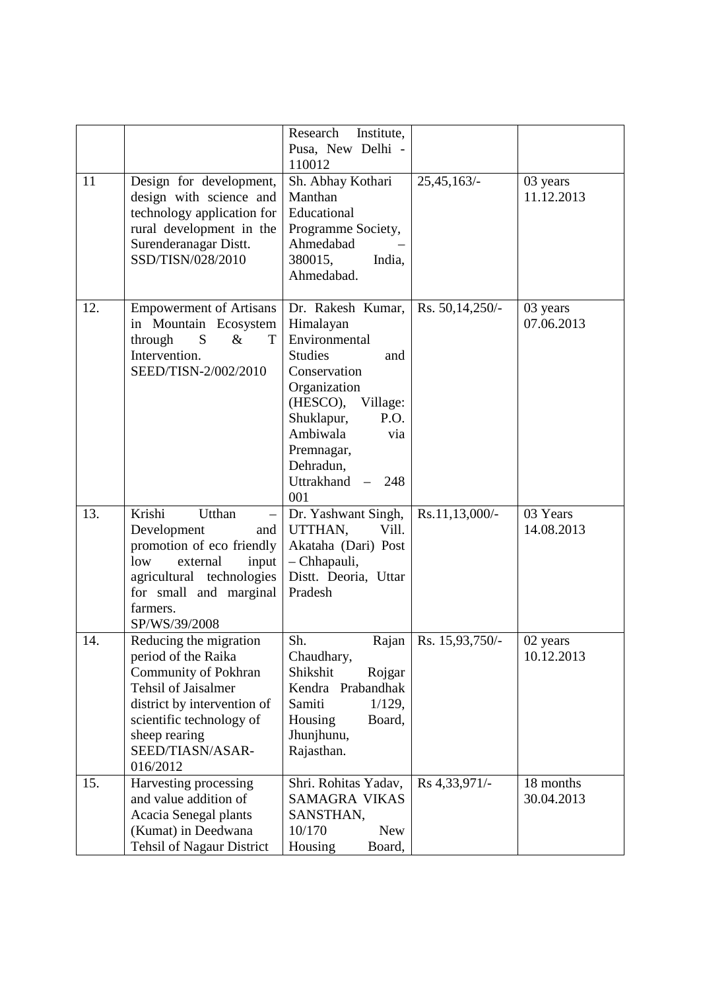|     |                                                                                                                                                                                                                        | Research<br>Institute,<br>Pusa, New Delhi -<br>110012                                                                                                                                                                            |                   |                         |
|-----|------------------------------------------------------------------------------------------------------------------------------------------------------------------------------------------------------------------------|----------------------------------------------------------------------------------------------------------------------------------------------------------------------------------------------------------------------------------|-------------------|-------------------------|
| 11  | Design for development,<br>design with science and<br>technology application for<br>rural development in the<br>Surenderanagar Distt.<br>SSD/TISN/028/2010                                                             | Sh. Abhay Kothari<br>Manthan<br>Educational<br>Programme Society,<br>Ahmedabad<br>380015,<br>India,<br>Ahmedabad.                                                                                                                | 25,45,163/-       | 03 years<br>11.12.2013  |
| 12. | <b>Empowerment of Artisans</b><br>in Mountain Ecosystem<br>S<br>T<br>through<br>$\&$<br>Intervention.<br>SEED/TISN-2/002/2010                                                                                          | Dr. Rakesh Kumar,<br>Himalayan<br>Environmental<br><b>Studies</b><br>and<br>Conservation<br>Organization<br>(HESCO),<br>Village:<br>Shuklapur,<br>P.O.<br>Ambiwala<br>via<br>Premnagar,<br>Dehradun,<br>Uttrakhand<br>248<br>001 | Rs. 50, 14, 250/- | 03 years<br>07.06.2013  |
| 13. | Krishi<br>Utthan<br>Development<br>and<br>promotion of eco friendly<br>low<br>external<br>input<br>agricultural technologies<br>for small and marginal<br>farmers.<br>SP/WS/39/2008                                    | Dr. Yashwant Singh,<br>UTTHAN,<br>Vill.<br>Akataha (Dari) Post<br>- Chhapauli,<br>Distt. Deoria, Uttar<br>Pradesh                                                                                                                | Rs.11,13,000/-    | 03 Years<br>14.08.2013  |
| 14. | Reducing the migration<br>period of the Raika<br><b>Community of Pokhran</b><br><b>Tehsil of Jaisalmer</b><br>district by intervention of<br>scientific technology of<br>sheep rearing<br>SEED/TIASN/ASAR-<br>016/2012 | Sh.<br>Rajan<br>Chaudhary,<br>Shikshit<br>Rojgar<br>Kendra Prabandhak<br>Samiti<br>$1/129$ ,<br>Housing<br>Board,<br>Jhunjhunu,<br>Rajasthan.                                                                                    | Rs. 15,93,750/-   | 02 years<br>10.12.2013  |
| 15. | Harvesting processing<br>and value addition of<br>Acacia Senegal plants<br>(Kumat) in Deedwana<br>Tehsil of Nagaur District                                                                                            | Shri. Rohitas Yadav,<br><b>SAMAGRA VIKAS</b><br>SANSTHAN,<br>10/170<br><b>New</b><br>Housing<br>Board,                                                                                                                           | Rs 4,33,971/-     | 18 months<br>30.04.2013 |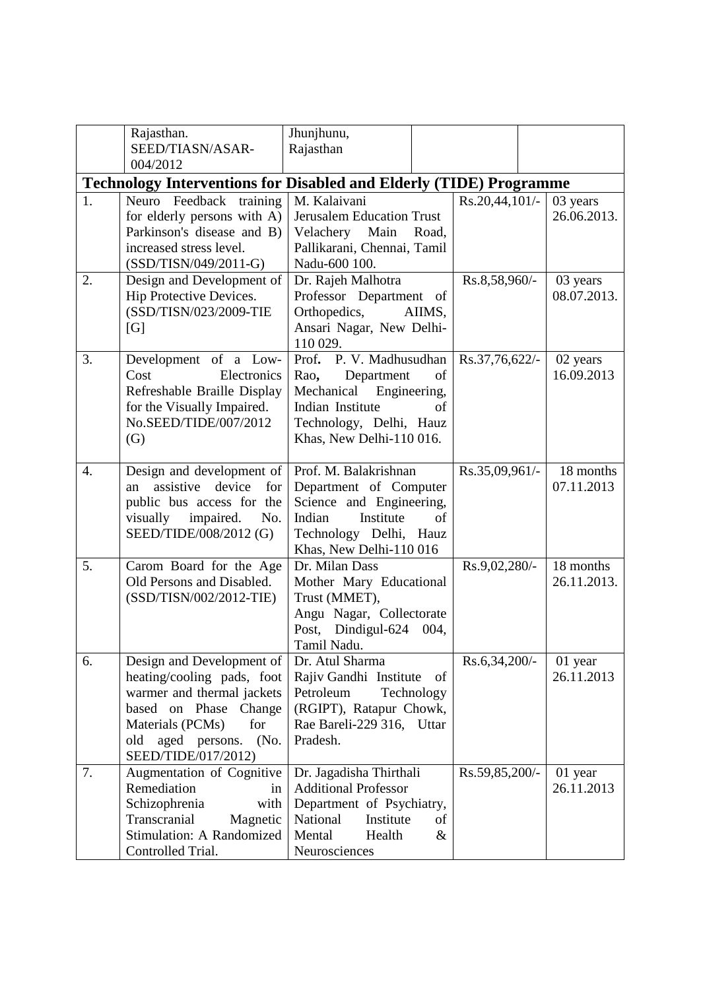|                                                                           | Rajasthan.<br>SEED/TIASN/ASAR-                                                                                                                                                                      | Jhunjhunu,<br>Rajasthan                                                                                                                                            |                |                          |  |  |
|---------------------------------------------------------------------------|-----------------------------------------------------------------------------------------------------------------------------------------------------------------------------------------------------|--------------------------------------------------------------------------------------------------------------------------------------------------------------------|----------------|--------------------------|--|--|
|                                                                           | 004/2012                                                                                                                                                                                            |                                                                                                                                                                    |                |                          |  |  |
| <b>Technology Interventions for Disabled and Elderly (TIDE) Programme</b> |                                                                                                                                                                                                     |                                                                                                                                                                    |                |                          |  |  |
| 1.                                                                        | Neuro Feedback training<br>for elderly persons with A)<br>Parkinson's disease and B)<br>increased stress level.<br>(SSD/TISN/049/2011-G)                                                            | M. Kalaivani<br><b>Jerusalem Education Trust</b><br>Velachery Main<br>Road,<br>Pallikarani, Chennai, Tamil<br>Nadu-600 100.                                        | Rs.20,44,101/- | 03 years<br>26.06.2013.  |  |  |
| 2.                                                                        | Design and Development of<br>Hip Protective Devices.<br>(SSD/TISN/023/2009-TIE<br>[G]                                                                                                               | Dr. Rajeh Malhotra<br>Professor Department of<br>Orthopedics,<br>AIIMS,<br>Ansari Nagar, New Delhi-<br>110 029.                                                    | Rs.8,58,960/-  | 03 years<br>08.07.2013.  |  |  |
| 3.                                                                        | Development of a Low-<br>Cost<br>Electronics<br>Refreshable Braille Display<br>for the Visually Impaired.<br>No.SEED/TIDE/007/2012<br>(G)                                                           | Prof. P. V. Madhusudhan<br>Department<br>of<br>Rao,<br>Mechanical<br>Engineering,<br>Indian Institute<br>of<br>Technology, Delhi, Hauz<br>Khas, New Delhi-110 016. | Rs.37,76,622/- | 02 years<br>16.09.2013   |  |  |
| 4.                                                                        | Design and development of<br>assistive device<br>for<br>an<br>public bus access for the<br>impaired.<br>visually<br>No.<br>SEED/TIDE/008/2012 (G)                                                   | Prof. M. Balakrishnan<br>Department of Computer<br>Science and Engineering,<br>Institute<br>Indian<br>of<br>Technology Delhi, Hauz<br>Khas, New Delhi-110 016      | Rs.35,09,961/- | 18 months<br>07.11.2013  |  |  |
| 5.                                                                        | Carom Board for the Age<br>Old Persons and Disabled.<br>(SSD/TISN/002/2012-TIE)                                                                                                                     | Dr. Milan Dass<br>Mother Mary Educational<br>Trust (MMET),<br>Angu Nagar, Collectorate<br>Post, Dindigul-624<br>004,<br>Tamil Nadu.                                | Rs.9,02,280/-  | 18 months<br>26.11.2013. |  |  |
| 6.                                                                        | Design and Development of<br>heating/cooling pads, foot<br>warmer and thermal jackets<br>based on Phase<br>Change<br>Materials (PCMs)<br>for<br>(No.<br>old<br>aged persons.<br>SEED/TIDE/017/2012) | Dr. Atul Sharma<br>Rajiv Gandhi Institute<br>of<br>Petroleum<br>Technology<br>(RGIPT), Ratapur Chowk,<br>Rae Bareli-229 316,<br>Uttar<br>Pradesh.                  | Rs.6,34,200/-  | 01 year<br>26.11.2013    |  |  |
| 7.                                                                        | Augmentation of Cognitive<br>Remediation<br>in<br>Schizophrenia<br>with<br>Transcranial<br>Magnetic<br>Stimulation: A Randomized<br>Controlled Trial.                                               | Dr. Jagadisha Thirthali<br><b>Additional Professor</b><br>Department of Psychiatry,<br>National<br>Institute<br>of<br>Mental<br>Health<br>&<br>Neurosciences       | Rs.59,85,200/- | 01 year<br>26.11.2013    |  |  |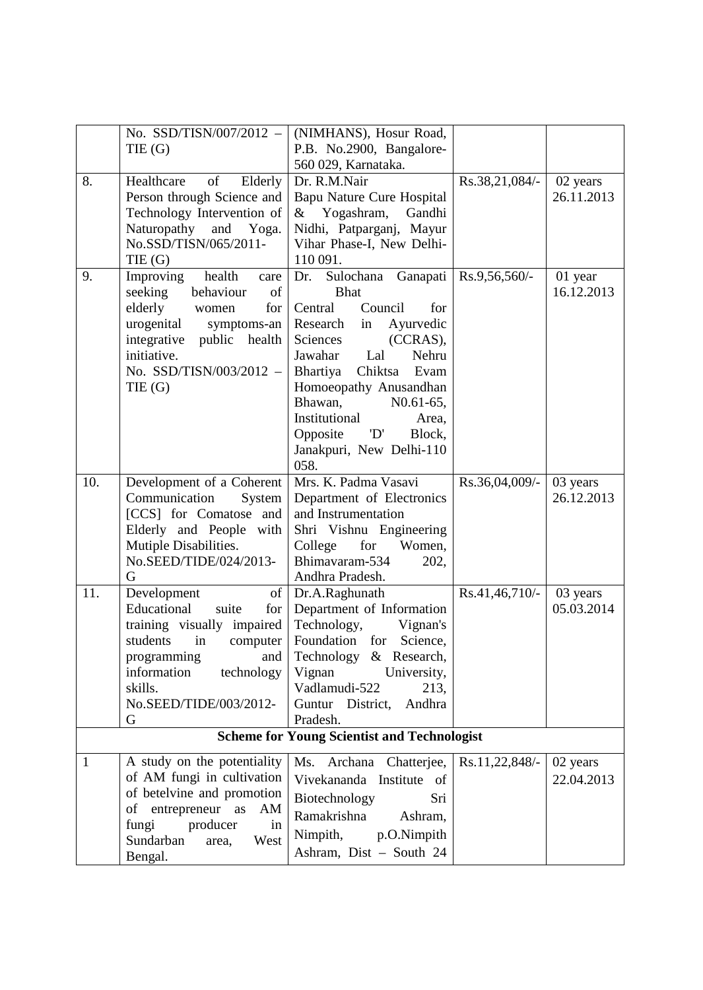|                                                    | No. SSD/TISN/007/2012 -                         | (NIMHANS), Hosur Road,                     |                |            |  |
|----------------------------------------------------|-------------------------------------------------|--------------------------------------------|----------------|------------|--|
|                                                    | THE (G)                                         | P.B. No.2900, Bangalore-                   |                |            |  |
|                                                    |                                                 | 560 029, Karnataka.                        |                |            |  |
| 8.                                                 | of<br>Healthcare<br>Elderly                     | Dr. R.M.Nair                               | Rs.38,21,084/- | 02 years   |  |
|                                                    | Person through Science and                      | Bapu Nature Cure Hospital                  |                | 26.11.2013 |  |
|                                                    | Technology Intervention of                      | & Yogashram,<br>Gandhi                     |                |            |  |
|                                                    | Naturopathy<br>and Yoga.                        | Nidhi, Patparganj, Mayur                   |                |            |  |
|                                                    | No.SSD/TISN/065/2011-                           | Vihar Phase-I, New Delhi-                  |                |            |  |
|                                                    | THE (G)                                         | 110 091.                                   |                |            |  |
| 9.                                                 | Improving<br>health<br>care                     | Dr.<br>Sulochana<br>Ganapati               | Rs.9,56,560/-  | 01 year    |  |
|                                                    | behaviour<br>seeking<br>of                      | <b>Bhat</b>                                |                | 16.12.2013 |  |
|                                                    | elderly<br>for<br>women                         | Council<br>Central<br>for                  |                |            |  |
|                                                    | urogenital<br>symptoms-an                       | Research<br>Ayurvedic<br>in                |                |            |  |
|                                                    | integrative<br>public health                    | Sciences<br>(CCRAS),                       |                |            |  |
|                                                    | initiative.                                     | Nehru<br>Jawahar<br>Lal                    |                |            |  |
|                                                    | No. SSD/TISN/003/2012 -                         | Chiktsa<br>Bhartiya<br>Evam                |                |            |  |
|                                                    | THE (G)                                         | Homoeopathy Anusandhan                     |                |            |  |
|                                                    |                                                 | Bhawan,<br>$N0.61-65,$                     |                |            |  |
|                                                    |                                                 | Institutional<br>Area,                     |                |            |  |
|                                                    |                                                 | $\mathbf{D}'$<br>Opposite<br>Block,        |                |            |  |
|                                                    |                                                 | Janakpuri, New Delhi-110                   |                |            |  |
|                                                    |                                                 | 058.                                       |                |            |  |
| 10.                                                | Development of a Coherent                       | Mrs. K. Padma Vasavi                       | Rs.36,04,009/- | 03 years   |  |
|                                                    | Communication<br>System                         | Department of Electronics                  |                | 26.12.2013 |  |
|                                                    | [CCS] for Comatose and                          | and Instrumentation                        |                |            |  |
|                                                    | Elderly and People with                         | Shri Vishnu Engineering                    |                |            |  |
|                                                    | Mutiple Disabilities.<br>No.SEED/TIDE/024/2013- | for<br>College<br>Women,<br>Bhimavaram-534 |                |            |  |
|                                                    | G                                               | 202,<br>Andhra Pradesh.                    |                |            |  |
| 11.                                                | of<br>Development                               | Dr.A.Raghunath                             | Rs.41,46,710/- | 03 years   |  |
|                                                    | Educational<br>suite<br>for                     | Department of Information                  |                | 05.03.2014 |  |
|                                                    | training visually impaired                      | Technology,<br>Vignan's                    |                |            |  |
|                                                    | students<br>in<br>computer                      | Foundation for<br>Science,                 |                |            |  |
|                                                    | programming<br>and                              | Technology & Research,                     |                |            |  |
|                                                    | information<br>technology                       | Vignan<br>University,                      |                |            |  |
|                                                    | skills.                                         | Vadlamudi-522<br>213,                      |                |            |  |
|                                                    | No.SEED/TIDE/003/2012-                          | Guntur District,<br>Andhra                 |                |            |  |
|                                                    | G                                               | Pradesh.                                   |                |            |  |
| <b>Scheme for Young Scientist and Technologist</b> |                                                 |                                            |                |            |  |
| 1                                                  | A study on the potentiality                     | Ms.<br>Archana Chatterjee,                 | Rs.11,22,848/- | 02 years   |  |
|                                                    | of AM fungi in cultivation                      | Vivekananda Institute of                   |                | 22.04.2013 |  |
|                                                    | of betelvine and promotion                      |                                            |                |            |  |
|                                                    | of entrepreneur as<br>AM                        | Biotechnology<br>Sri                       |                |            |  |
|                                                    | producer<br>fungi<br>in                         | Ramakrishna<br>Ashram,                     |                |            |  |
|                                                    | Sundarban<br>West<br>area,                      | Nimpith,<br>p.O.Nimpith                    |                |            |  |
|                                                    | Bengal.                                         | Ashram, Dist - South 24                    |                |            |  |